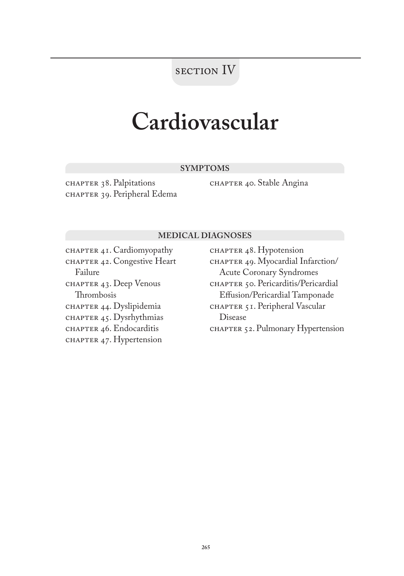## section IV

## **Cardiovascular**

### **SYMPTOMS**

chapter 38. Palpitations CHAPTER 39. Peripheral Edema chapter 40. Stable Angina

### **MEDICAL DIAGNOSES**

CHAPTER  $4I$ . Cardiomyopathy chapter 42. Congestive Heart Failure chapter 43. Deep Venous Thrombosis chapter 44. Dyslipidemia CHAPTER  $45$ . Dysrhythmias CHAPTER 46. Endocarditis chapter 47. Hypertension

CHAPTER 48. Hypotension CHAPTER 49. Myocardial Infarction/ Acute Coronary Syndromes chapter 50. Pericarditis/Pericardial Effusion/Pericardial Tamponade CHAPTER 51. Peripheral Vascular Disease CHAPTER 52. Pulmonary Hypertension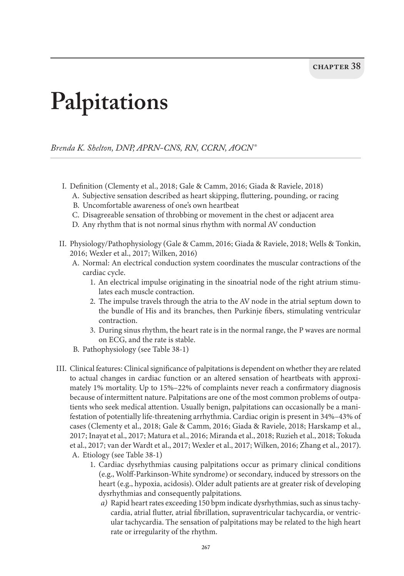# **Palpitations**

*Brenda K. Shelton, DNP, APRN-CNS, RN, CCRN, AOCN®*

- I. Definition (Clementy et al., 2018; Gale & Camm, 2016; Giada & Raviele, 2018)
	- A. Subjective sensation described as heart skipping, fluttering, pounding, or racing
	- B. Uncomfortable awareness of one's own heartbeat
	- C. Disagreeable sensation of throbbing or movement in the chest or adjacent area
	- D. Any rhythm that is not normal sinus rhythm with normal AV conduction
- II. Physiology/Pathophysiology (Gale & Camm, 2016; Giada & Raviele, 2018; Wells & Tonkin, 2016; Wexler et al., 2017; Wilken, 2016)
	- A. Normal: An electrical conduction system coordinates the muscular contractions of the cardiac cycle.
		- 1. An electrical impulse originating in the sinoatrial node of the right atrium stimulates each muscle contraction.
		- 2. The impulse travels through the atria to the AV node in the atrial septum down to the bundle of His and its branches, then Purkinje fibers, stimulating ventricular contraction.
		- 3. During sinus rhythm, the heart rate is in the normal range, the P waves are normal on ECG, and the rate is stable.
	- B. Pathophysiology (see Table 38-1)
- III. Clinical features: Clinical significance of palpitations is dependent on whether they are related to actual changes in cardiac function or an altered sensation of heartbeats with approximately 1% mortality. Up to 15%–22% of complaints never reach a confirmatory diagnosis because of intermittent nature. Palpitations are one of the most common problems of outpatients who seek medical attention. Usually benign, palpitations can occasionally be a manifestation of potentially life-threatening arrhythmia. Cardiac origin is present in 34%–43% of cases (Clementy et al., 2018; Gale & Camm, 2016; Giada & Raviele, 2018; Harskamp et al., 2017; Inayat et al., 2017; Matura et al., 2016; Miranda et al., 2018; Ruzieh et al., 2018; Tokuda et al., 2017; van der Wardt et al., 2017; Wexler et al., 2017; Wilken, 2016; Zhang et al., 2017). A. Etiology (see Table 38-1)
	- 1. Cardiac dysrhythmias causing palpitations occur as primary clinical conditions (e.g., Wolff-Parkinson-White syndrome) or secondary, induced by stressors on the heart (e.g., hypoxia, acidosis). Older adult patients are at greater risk of developing dysrhythmias and consequently palpitations.
		- *a)* Rapid heart rates exceeding 150 bpm indicate dysrhythmias, such as sinus tachycardia, atrial flutter, atrial fibrillation, supraventricular tachycardia, or ventricular tachycardia. The sensation of palpitations may be related to the high heart rate or irregularity of the rhythm.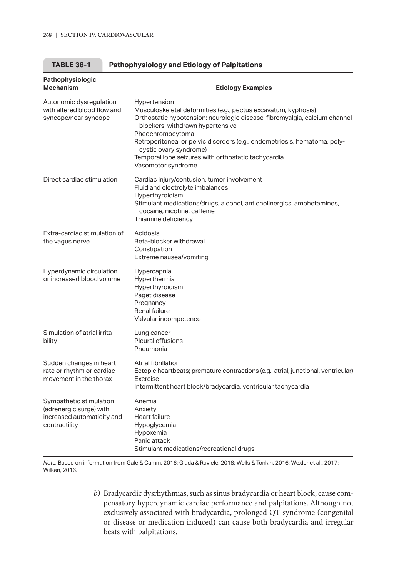| Pathophysiologic<br><b>Mechanism</b>                                                              | <b>Etiology Examples</b>                                                                                                                                                                                                                                                                                                                                                                                 |
|---------------------------------------------------------------------------------------------------|----------------------------------------------------------------------------------------------------------------------------------------------------------------------------------------------------------------------------------------------------------------------------------------------------------------------------------------------------------------------------------------------------------|
| Autonomic dysregulation<br>with altered blood flow and<br>syncope/near syncope                    | Hypertension<br>Musculoskeletal deformities (e.g., pectus excavatum, kyphosis)<br>Orthostatic hypotension: neurologic disease, fibromyalgia, calcium channel<br>blockers, withdrawn hypertensive<br>Pheochromocytoma<br>Retroperitoneal or pelvic disorders (e.g., endometriosis, hematoma, poly-<br>cystic ovary syndrome)<br>Temporal lobe seizures with orthostatic tachycardia<br>Vasomotor syndrome |
| Direct cardiac stimulation                                                                        | Cardiac injury/contusion, tumor involvement<br>Fluid and electrolyte imbalances<br>Hyperthyroidism<br>Stimulant medications/drugs, alcohol, anticholinergics, amphetamines,<br>cocaine, nicotine, caffeine<br>Thiamine deficiency                                                                                                                                                                        |
| Extra-cardiac stimulation of<br>the vagus nerve                                                   | Acidosis<br>Beta-blocker withdrawal<br>Constipation<br>Extreme nausea/vomiting                                                                                                                                                                                                                                                                                                                           |
| Hyperdynamic circulation<br>or increased blood volume                                             | Hypercapnia<br>Hyperthermia<br>Hyperthyroidism<br>Paget disease<br>Pregnancy<br>Renal failure<br>Valvular incompetence                                                                                                                                                                                                                                                                                   |
| Simulation of atrial irrita-<br>bility                                                            | Lung cancer<br>Pleural effusions<br>Pneumonia                                                                                                                                                                                                                                                                                                                                                            |
| Sudden changes in heart<br>rate or rhythm or cardiac<br>movement in the thorax                    | Atrial fibrillation<br>Ectopic heartbeats; premature contractions (e.g., atrial, junctional, ventricular)<br>Exercise<br>Intermittent heart block/bradycardia, ventricular tachycardia                                                                                                                                                                                                                   |
| Sympathetic stimulation<br>(adrenergic surge) with<br>increased automaticity and<br>contractility | Anemia<br>Anxiety<br>Heart failure<br>Hypoglycemia<br>Hypoxemia<br>Panic attack<br>Stimulant medications/recreational drugs                                                                                                                                                                                                                                                                              |

| <b>TABLE 38-1</b><br><b>Pathophysiology and Etiology of Palpitations</b> |
|--------------------------------------------------------------------------|
|--------------------------------------------------------------------------|

*Note.* Based on information from Gale & Camm, 2016; Giada & Raviele, 2018; Wells & Tonkin, 2016; Wexler et al., 2017; Wilken, 2016.

> *b)* Bradycardic dysrhythmias, such as sinus bradycardia or heart block, cause compensatory hyperdynamic cardiac performance and palpitations. Although not exclusively associated with bradycardia, prolonged QT syndrome (congenital or disease or medication induced) can cause both bradycardia and irregular beats with palpitations.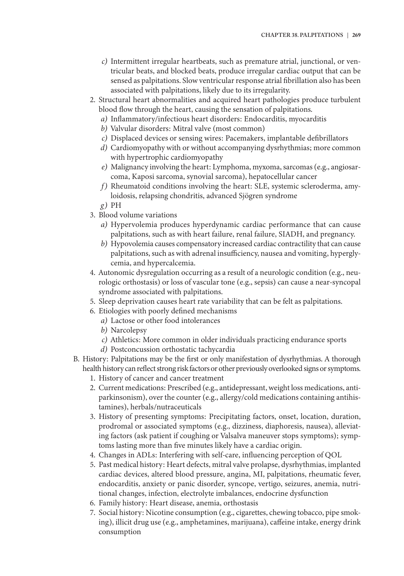- *c)* Intermittent irregular heartbeats, such as premature atrial, junctional, or ventricular beats, and blocked beats, produce irregular cardiac output that can be sensed as palpitations. Slow ventricular response atrial fibrillation also has been associated with palpitations, likely due to its irregularity.
- 2. Structural heart abnormalities and acquired heart pathologies produce turbulent blood flow through the heart, causing the sensation of palpitations.
	- *a)* Inflammatory/infectious heart disorders: Endocarditis, myocarditis
	- *b)* Valvular disorders: Mitral valve (most common)
	- *c)* Displaced devices or sensing wires: Pacemakers, implantable defibrillators
	- *d)* Cardiomyopathy with or without accompanying dysrhythmias; more common with hypertrophic cardiomyopathy
	- *e)* Malignancy involving the heart: Lymphoma, myxoma, sarcomas (e.g., angiosarcoma, Kaposi sarcoma, synovial sarcoma), hepatocellular cancer
	- *f*) Rheumatoid conditions involving the heart: SLE, systemic scleroderma, amyloidosis, relapsing chondritis, advanced Sjögren syndrome
	- *g)* PH
- 3. Blood volume variations
	- *a)* Hypervolemia produces hyperdynamic cardiac performance that can cause palpitations, such as with heart failure, renal failure, SIADH, and pregnancy.
	- *b)* Hypovolemia causes compensatory increased cardiac contractility that can cause palpitations, such as with adrenal insufficiency, nausea and vomiting, hyperglycemia, and hypercalcemia.
- 4. Autonomic dysregulation occurring as a result of a neurologic condition (e.g., neurologic orthostasis) or loss of vascular tone (e.g., sepsis) can cause a near-syncopal syndrome associated with palpitations.
- 5. Sleep deprivation causes heart rate variability that can be felt as palpitations.
- 6. Etiologies with poorly defined mechanisms
	- *a)* Lactose or other food intolerances
	- *b)* Narcolepsy
	- *c)* Athletics: More common in older individuals practicing endurance sports
	- *d)* Postconcussion orthostatic tachycardia
- B. History: Palpitations may be the first or only manifestation of dysrhythmias. A thorough health history can reflect strong risk factors or other previously overlooked signs or symptoms.
	- 1. History of cancer and cancer treatment
	- 2. Current medications: Prescribed (e.g., antidepressant, weight loss medications, antiparkinsonism), over the counter (e.g., allergy/cold medications containing antihistamines), herbals/nutraceuticals
	- 3. History of presenting symptoms: Precipitating factors, onset, location, duration, prodromal or associated symptoms (e.g., dizziness, diaphoresis, nausea), alleviating factors (ask patient if coughing or Valsalva maneuver stops symptoms); symptoms lasting more than five minutes likely have a cardiac origin.
	- 4. Changes in ADLs: Interfering with self-care, influencing perception of QOL
	- 5. Past medical history: Heart defects, mitral valve prolapse, dysrhythmias, implanted cardiac devices, altered blood pressure, angina, MI, palpitations, rheumatic fever, endocarditis, anxiety or panic disorder, syncope, vertigo, seizures, anemia, nutritional changes, infection, electrolyte imbalances, endocrine dysfunction
	- 6. Family history: Heart disease, anemia, orthostasis
	- 7. Social history: Nicotine consumption (e.g., cigarettes, chewing tobacco, pipe smoking), illicit drug use (e.g., amphetamines, marijuana), caffeine intake, energy drink consumption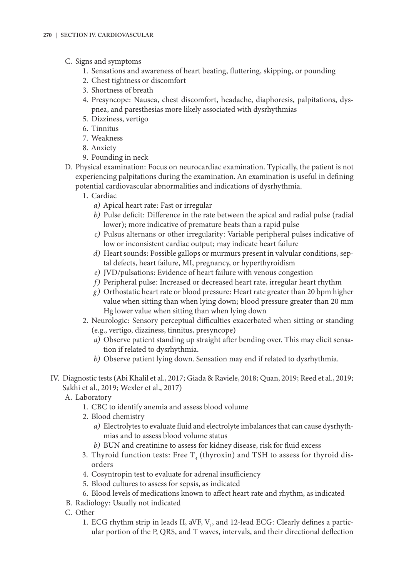- C. Signs and symptoms
	- 1. Sensations and awareness of heart beating, fluttering, skipping, or pounding
	- 2. Chest tightness or discomfort
	- 3. Shortness of breath
	- 4. Presyncope: Nausea, chest discomfort, headache, diaphoresis, palpitations, dyspnea, and paresthesias more likely associated with dysrhythmias
	- 5. Dizziness, vertigo
	- 6. Tinnitus
	- 7. Weakness
	- 8. Anxiety
	- 9. Pounding in neck
- D. Physical examination: Focus on neurocardiac examination. Typically, the patient is not experiencing palpitations during the examination. An examination is useful in defining potential cardiovascular abnormalities and indications of dysrhythmia.
	- 1. Cardiac
		- *a)* Apical heart rate: Fast or irregular
		- *b)* Pulse deficit: Difference in the rate between the apical and radial pulse (radial lower); more indicative of premature beats than a rapid pulse
		- *c)* Pulsus alternans or other irregularity: Variable peripheral pulses indicative of low or inconsistent cardiac output; may indicate heart failure
		- *d)* Heart sounds: Possible gallops or murmurs present in valvular conditions, septal defects, heart failure, MI, pregnancy, or hyperthyroidism
		- *e)* JVD/pulsations: Evidence of heart failure with venous congestion
		- *f )* Peripheral pulse: Increased or decreased heart rate, irregular heart rhythm
		- *g)* Orthostatic heart rate or blood pressure: Heart rate greater than 20 bpm higher value when sitting than when lying down; blood pressure greater than 20 mm Hg lower value when sitting than when lying down
	- 2. Neurologic: Sensory perceptual difficulties exacerbated when sitting or standing (e.g., vertigo, dizziness, tinnitus, presyncope)
		- *a)* Observe patient standing up straight after bending over. This may elicit sensation if related to dysrhythmia.
		- *b)* Observe patient lying down. Sensation may end if related to dysrhythmia.
- IV. Diagnostic tests (Abi Khalil et al., 2017; Giada & Raviele, 2018; Quan, 2019; Reed et al., 2019; Sakhi et al., 2019; Wexler et al., 2017)
	- A. Laboratory
		- 1. CBC to identify anemia and assess blood volume
		- 2. Blood chemistry
			- *a)* Electrolytes to evaluate fluid and electrolyte imbalances that can cause dysrhythmias and to assess blood volume status
			- *b)* BUN and creatinine to assess for kidney disease, risk for fluid excess
		- 3. Thyroid function tests: Free  $\text{T}_4$  (thyroxin) and TSH to assess for thyroid disorders
		- 4. Cosyntropin test to evaluate for adrenal insufficiency
		- 5. Blood cultures to assess for sepsis, as indicated
		- 6. Blood levels of medications known to affect heart rate and rhythm, as indicated
	- B. Radiology: Usually not indicated
	- C. Other
		- 1. ECG rhythm strip in leads II, aVF,  $V_1$ , and 12-lead ECG: Clearly defines a particular portion of the P, QRS, and T waves, intervals, and their directional deflection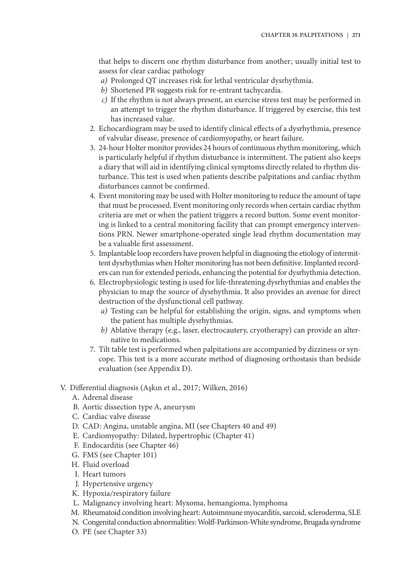that helps to discern one rhythm disturbance from another; usually initial test to assess for clear cardiac pathology

- *a)* Prolonged QT increases risk for lethal ventricular dysrhythmia.
- *b)* Shortened PR suggests risk for re-entrant tachycardia.
- *c)* If the rhythm is not always present, an exercise stress test may be performed in an attempt to trigger the rhythm disturbance. If triggered by exercise, this test has increased value.
- 2. Echocardiogram may be used to identify clinical effects of a dysrhythmia, presence of valvular disease, presence of cardiomyopathy, or heart failure.
- 3. 24-hour Holter monitor provides 24 hours of continuous rhythm monitoring, which is particularly helpful if rhythm disturbance is intermittent. The patient also keeps a diary that will aid in identifying clinical symptoms directly related to rhythm disturbance. This test is used when patients describe palpitations and cardiac rhythm disturbances cannot be confirmed.
- 4. Event monitoring may be used with Holter monitoring to reduce the amount of tape that must be processed. Event monitoring only records when certain cardiac rhythm criteria are met or when the patient triggers a record button. Some event monitoring is linked to a central monitoring facility that can prompt emergency interventions PRN. Newer smartphone-operated single lead rhythm documentation may be a valuable first assessment.
- 5. Implantable loop recorders have proven helpful in diagnosing the etiology of intermittent dysrhythmias when Holter monitoring has not been definitive. Implanted recorders can run for extended periods, enhancing the potential for dysrhythmia detection.
- 6. Electrophysiologic testing is used for life-threatening dysrhythmias and enables the physician to map the source of dysrhythmia. It also provides an avenue for direct destruction of the dysfunctional cell pathway.
	- *a)* Testing can be helpful for establishing the origin, signs, and symptoms when the patient has multiple dysrhythmias.
	- *b)* Ablative therapy (e.g., laser, electrocautery, cryotherapy) can provide an alternative to medications.
- 7. Tilt table test is performed when palpitations are accompanied by dizziness or syncope. This test is a more accurate method of diagnosing orthostasis than bedside evaluation (see Appendix D).
- V. Differential diagnosis (Aşkın et al., 2017; Wilken, 2016)
	- A. Adrenal disease
	- B. Aortic dissection type A, aneurysm
	- C. Cardiac valve disease
	- D. CAD: Angina, unstable angina, MI (see Chapters 40 and 49)
	- E. Cardiomyopathy: Dilated, hypertrophic (Chapter 41)
	- F. Endocarditis (see Chapter 46)
	- G. FMS (see Chapter 101)
	- H. Fluid overload
	- I. Heart tumors
	- J. Hypertensive urgency
	- K. Hypoxia/respiratory failure
	- L. Malignancy involving heart: Myxoma, hemangioma, lymphoma
	- M. Rheumatoid condition involving heart: Autoimmune myocarditis, sarcoid, scleroderma, SLE
	- N. Congenital conduction abnormalities: Wolff-Parkinson-White syndrome, Brugada syndrome
	- O. PE (see Chapter 33)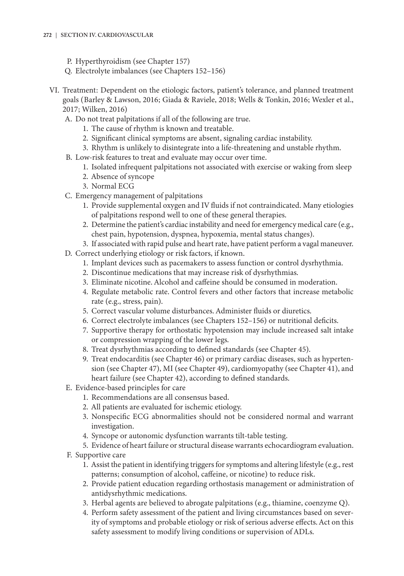### **272 | SECTION IV. CARDIOVASCULAR**

- P. Hyperthyroidism (see Chapter 157)
- Q. Electrolyte imbalances (see Chapters 152–156)
- VI. Treatment: Dependent on the etiologic factors, patient's tolerance, and planned treatment goals (Barley & Lawson, 2016; Giada & Raviele, 2018; Wells & Tonkin, 2016; Wexler et al., 2017; Wilken, 2016)
	- A. Do not treat palpitations if all of the following are true.
		- 1. The cause of rhythm is known and treatable.
		- 2. Significant clinical symptoms are absent, signaling cardiac instability.
		- 3. Rhythm is unlikely to disintegrate into a life-threatening and unstable rhythm.
	- B. Low-risk features to treat and evaluate may occur over time.
		- 1. Isolated infrequent palpitations not associated with exercise or waking from sleep
		- 2. Absence of syncope
		- 3. Normal ECG
	- C. Emergency management of palpitations
		- 1. Provide supplemental oxygen and IV fluids if not contraindicated. Many etiologies of palpitations respond well to one of these general therapies.
		- 2. Determine the patient's cardiac instability and need for emergency medical care (e.g., chest pain, hypotension, dyspnea, hypoxemia, mental status changes).
		- 3. If associated with rapid pulse and heart rate, have patient perform a vagal maneuver.
	- D. Correct underlying etiology or risk factors, if known.
		- 1. Implant devices such as pacemakers to assess function or control dysrhythmia.
		- 2. Discontinue medications that may increase risk of dysrhythmias.
		- 3. Eliminate nicotine. Alcohol and caffeine should be consumed in moderation.
		- 4. Regulate metabolic rate. Control fevers and other factors that increase metabolic rate (e.g., stress, pain).
		- 5. Correct vascular volume disturbances. Administer fluids or diuretics.
		- 6. Correct electrolyte imbalances (see Chapters 152–156) or nutritional deficits.
		- 7. Supportive therapy for orthostatic hypotension may include increased salt intake or compression wrapping of the lower legs.
		- 8. Treat dysrhythmias according to defined standards (see Chapter 45).
		- 9. Treat endocarditis (see Chapter 46) or primary cardiac diseases, such as hypertension (see Chapter 47), MI (see Chapter 49), cardiomyopathy (see Chapter 41), and heart failure (see Chapter 42), according to defined standards.
	- E. Evidence-based principles for care
		- 1. Recommendations are all consensus based.
		- 2. All patients are evaluated for ischemic etiology.
		- 3. Nonspecific ECG abnormalities should not be considered normal and warrant investigation.
		- 4. Syncope or autonomic dysfunction warrants tilt-table testing.
		- 5. Evidence of heart failure or structural disease warrants echocardiogram evaluation.
	- F. Supportive care
		- 1. Assist the patient in identifying triggers for symptoms and altering lifestyle (e.g., rest patterns; consumption of alcohol, caffeine, or nicotine) to reduce risk.
		- 2. Provide patient education regarding orthostasis management or administration of antidysrhythmic medications.
		- 3. Herbal agents are believed to abrogate palpitations (e.g., thiamine, coenzyme Q).
		- 4. Perform safety assessment of the patient and living circumstances based on severity of symptoms and probable etiology or risk of serious adverse effects. Act on this safety assessment to modify living conditions or supervision of ADLs.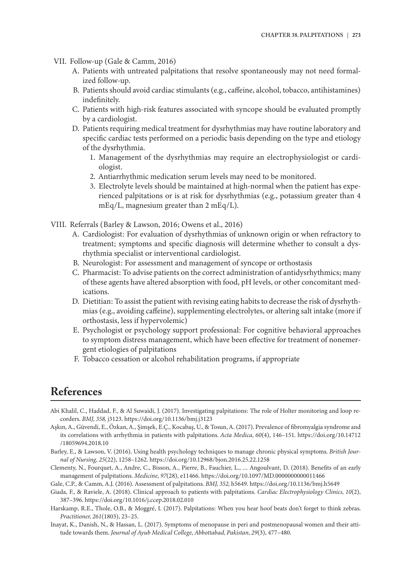- VII. Follow-up (Gale & Camm, 2016)
	- A. Patients with untreated palpitations that resolve spontaneously may not need formalized follow-up.
	- B. Patients should avoid cardiac stimulants (e.g., caffeine, alcohol, tobacco, antihistamines) indefinitely.
	- C. Patients with high-risk features associated with syncope should be evaluated promptly by a cardiologist.
	- D. Patients requiring medical treatment for dysrhythmias may have routine laboratory and specific cardiac tests performed on a periodic basis depending on the type and etiology of the dysrhythmia.
		- 1. Management of the dysrhythmias may require an electrophysiologist or cardiologist.
		- 2. Antiarrhythmic medication serum levels may need to be monitored.
		- 3. Electrolyte levels should be maintained at high-normal when the patient has experienced palpitations or is at risk for dysrhythmias (e.g., potassium greater than 4 mEq/L, magnesium greater than 2 mEq/L).
- VIII. Referrals (Barley & Lawson, 2016; Owens et al., 2016)
	- A. Cardiologist: For evaluation of dysrhythmias of unknown origin or when refractory to treatment; symptoms and specific diagnosis will determine whether to consult a dysrhythmia specialist or interventional cardiologist.
	- B. Neurologist: For assessment and management of syncope or orthostasis
	- C. Pharmacist: To advise patients on the correct administration of antidysrhythmics; many of these agents have altered absorption with food, pH levels, or other concomitant medications.
	- D. Dietitian: To assist the patient with revising eating habits to decrease the risk of dysrhythmias (e.g., avoiding caffeine), supplementing electrolytes, or altering salt intake (more if orthostasis, less if hypervolemic)
	- E. Psychologist or psychology support professional: For cognitive behavioral approaches to symptom distress management, which have been effective for treatment of nonemergent etiologies of palpitations
	- F. Tobacco cessation or alcohol rehabilitation programs, if appropriate

### **References**

- Abi Khalil, C., Haddad, F., & Al Suwaidi, J. (2017). Investigating palpitations: The role of Holter monitoring and loop recorders. *BMJ, 358,* j3123. https://doi.org/10.1136/bmj.j3123
- Aşkın, A., Güvendi, E., Özkan, A., Şimşek, E.Ç., Kocabaş, U., & Tosun, A. (2017). Prevalence of fibromyalgia syndrome and its correlations with arrhythmia in patients with palpitations. *Acta Medica, 60*(4), 146–151. https://doi.org/10.14712 /18059694.2018.10
- Barley, E., & Lawson, V. (2016). Using health psychology techniques to manage chronic physical symptoms. *British Journal of Nursing, 25*(22), 1258–1262. https://doi.org/10.12968/bjon.2016.25.22.1258
- Clementy, N., Fourquet, A., Andre, C., Bisson, A., Pierre, B., Fauchier, L., … Angoulvant, D. (2018). Benefits of an early management of palpitations. *Medicine, 97*(28), e11466. https://doi.org/10.1097/MD.0000000000011466

Gale, C.P., & Camm, A.J. (2016). Assessment of palpitations. *BMJ, 352,* h5649. https://doi.org/10.1136/bmj.h5649

Giada, F., & Raviele, A. (2018). Clinical approach to patients with palpitations. *Cardiac Electrophysiology Clinics, 10*(2), 387–396. https://doi.org/10.1016/j.ccep.2018.02.010

- Harskamp, R.E., Thole, O.B., & Moggré, I. (2017). Palpitations: When you hear hoof beats don't forget to think zebras. *Practitioner, 261*(1803), 23–25.
- Inayat, K., Danish, N., & Hassan, L. (2017). Symptoms of menopause in peri and postmenopausal women and their attitude towards them. *Journal of Ayub Medical College, Abbottabad, Pakistan, 29*(3), 477–480.